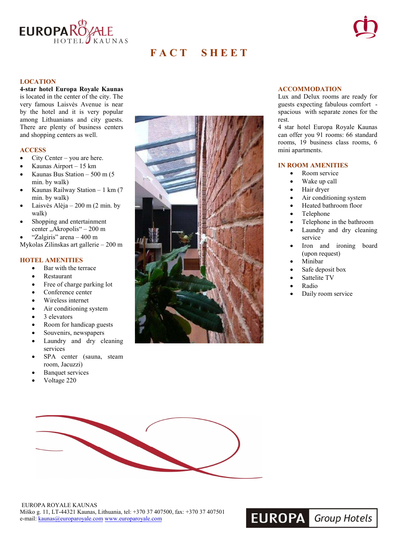

# **F A C T ï S H E E T**



### **LOCATION**

**4-star hotel Europa Royale Kaunas** is located in the center of the city. The very famous Laisvės Avenue is near by the hotel and it is very popular among Lithuanians and city guests. There are plenty of business centers and shopping centers as well.

#### **ACCESS**

- City Center you are here.
- Kaunas Airport 15 km
- Kaunas Bus Station  $-500$  m (5) min. by walk)
- Kaunas Railway Station 1 km (7 min. by walk)
- Laisvės Alėja 200 m (2 min. by walk)
- Shopping and entertainment center "Akropolis" – 200 m
- "Zalgiris" arena 400 m
- Mykolas Zilinskas art gallerie 200 m

## **HOTEL AMENITIES**

- Bar with the terrace
- Restaurant
- Free of charge parking lot
- Conference center
- Wireless internet
- Air conditioning system
- 3 elevators
- Room for handicap guests
- Souvenirs, newspapers
- Laundry and dry cleaning services
- SPA center (sauna, steam room, Jacuzzi)
- **Banquet services**
- Voltage 220



#### **ACCOMMODATION**

Lux and Delux rooms are ready for guests expecting fabulous comfort spacious with separate zones for the rest.

4 star hotel Europa Royale Kaunas can offer you 91 rooms: 66 standard rooms, 19 business class rooms, 6 mini apartments.

### **IN ROOM AMENITIES**

- Room service
- Wake up call
- Hair dryer
- Air conditioning system
- Heated bathroom floor
- Telephone
- Telephone in the bathroom
- Laundry and dry cleaning service
- Iron and ironing board (upon request)
- Minibar
- Safe deposit box
- Sattelite TV
- Radio
- Daily room service

**EUROPA** Group Hotels